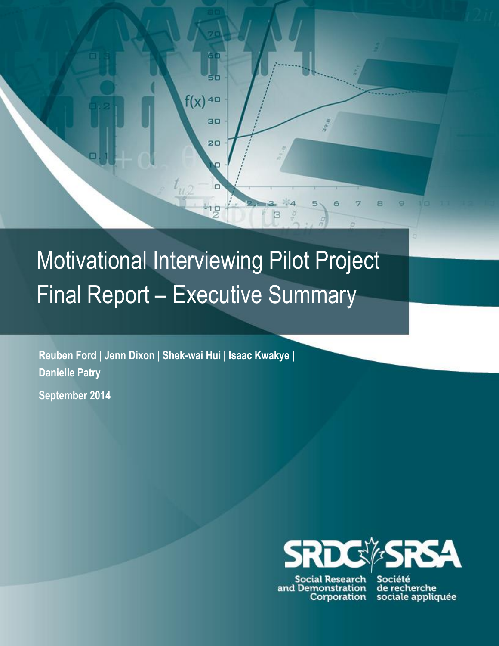## Motivational Interviewing Pilot Project Final Report – Executive Summary

ĠŌ

ьó

30

 $20$ 

π

-1.9

 $f(x)$ <sup>40</sup>

**Reuben Ford | Jenn Dixon | Shek-wai Hui | Isaac Kwakye | Danielle Patry**

**September 2014**



**Social Research** and Demonstration Corporation

6

R

Ξ

в

Société de recherche sociale appliquée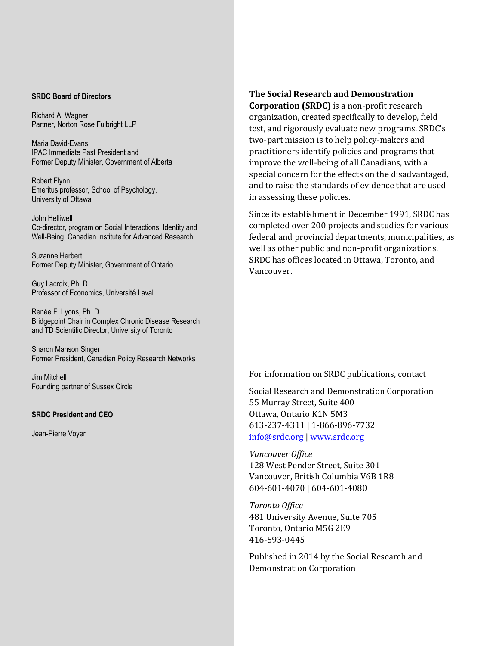## **SRDC Board of Directors**

Richard A. Wagner Partner, Norton Rose Fulbright LLP

Maria David-Evans IPAC Immediate Past President and Former Deputy Minister, Government of Alberta

Robert Flynn Emeritus professor, School of Psychology, University of Ottawa

John Helliwell Co-director, program on Social Interactions, Identity and Well-Being, Canadian Institute for Advanced Research

Suzanne Herbert Former Deputy Minister, Government of Ontario

Guy Lacroix, Ph. D. Professor of Economics, Université Laval

Renée F. Lyons, Ph. D. Bridgepoint Chair in Complex Chronic Disease Research and TD Scientific Director, University of Toronto

Sharon Manson Singer Former President, Canadian Policy Research Networks

Jim Mitchell Founding partner of Sussex Circle

## **SRDC President and CEO**

Jean-Pierre Voyer

**The Social Research and Demonstration Corporation (SRDC)** is a non-profit research organization, created specifically to develop, field test, and rigorously evaluate new programs. SRDC's two-part mission is to help policy-makers and practitioners identify policies and programs that improve the well-being of all Canadians, with a special concern for the effects on the disadvantaged, and to raise the standards of evidence that are used in assessing these policies.

Since its establishment in December 1991, SRDC has completed over 200 projects and studies for various federal and provincial departments, municipalities, as well as other public and non-profit organizations. SRDC has offices located in Ottawa, Toronto, and Vancouver.

For information on SRDC publications, contact

Social Research and Demonstration Corporation 55 Murray Street, Suite 400 Ottawa, Ontario K1N 5M3 613-237-4311 | 1-866-896-7732 [info@srdc.org](mailto:info@srdc.org) [| www.srdc.org](file:///C:/Documents%20and%20Settings/cmallory/Local%20Settings/Temp/Temporary%20Directory%201%20for%20gender%20differences_D3%20docx.zip/www.srdc.org)

*Vancouver Office* 128 West Pender Street, Suite 301 Vancouver, British Columbia V6B 1R8 604-601-4070 | 604-601-4080

*Toronto Office* 481 University Avenue, Suite 705 Toronto, Ontario M5G 2E9 416-593-0445

Published in 2014 by the Social Research and Demonstration Corporation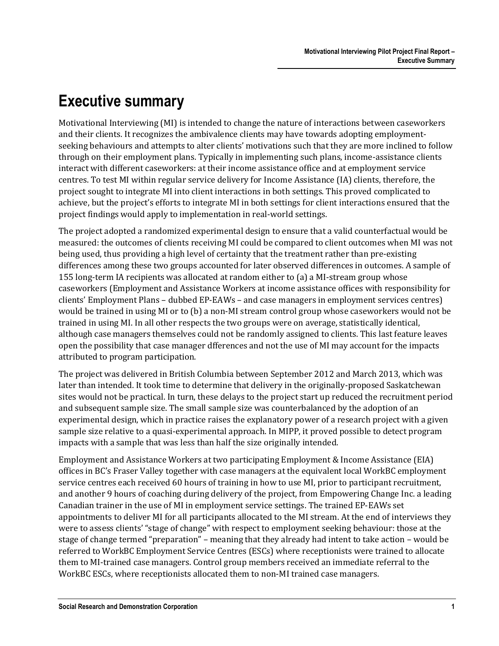## **Executive summary**

Motivational Interviewing (MI) is intended to change the nature of interactions between caseworkers and their clients. It recognizes the ambivalence clients may have towards adopting employmentseeking behaviours and attempts to alter clients' motivations such that they are more inclined to follow through on their employment plans. Typically in implementing such plans, income-assistance clients interact with different caseworkers: at their income assistance office and at employment service centres. To test MI within regular service delivery for Income Assistance (IA) clients, therefore, the project sought to integrate MI into client interactions in both settings. This proved complicated to achieve, but the project's efforts to integrate MI in both settings for client interactions ensured that the project findings would apply to implementation in real-world settings.

The project adopted a randomized experimental design to ensure that a valid counterfactual would be measured: the outcomes of clients receiving MI could be compared to client outcomes when MI was not being used, thus providing a high level of certainty that the treatment rather than pre-existing differences among these two groups accounted for later observed differences in outcomes. A sample of 155 long-term IA recipients was allocated at random either to (a) a MI-stream group whose caseworkers (Employment and Assistance Workers at income assistance offices with responsibility for clients' Employment Plans – dubbed EP-EAWs – and case managers in employment services centres) would be trained in using MI or to (b) a non-MI stream control group whose caseworkers would not be trained in using MI. In all other respects the two groups were on average, statistically identical, although case managers themselves could not be randomly assigned to clients. This last feature leaves open the possibility that case manager dfferences and not the use of MI may account for the impacts attributed to program participation.

The project was delivered in British Columbia between September 2012 and March 2013, which was later than intended. It took time to determine that delivery in the originally-proposed Saskatchewan sites would not be practical. In turn, these delays to the project start up reduced the recruitment period and subsequent sample size. The small sample size was counterbalanced by the adoption of an experimental design, which in practice raises the explanatory power of a research project with a given sample size relative to a quasi-experimental approach. In MIPP, it proved possible to detect program impacts with a sample that was less than half the size originally intended.

Employment and Assistance Workers at two participating Employment & Income Assistance (EIA) offices in BC's Fraser Valley together with case managers at the equivalent local WorkBC employment service centres each received 60 hours of training in how to use MI, prior to participant recruitment, and another 9 hours of coaching during delivery of the project, from Empowering Change Inc. a leading Canadian trainer in the use of MI in employment service settings. The trained EP-EAWs set appointments to deliver MI for all participants allocated to the MI stream. At the end of interviews they were to assess clients' "stage of change" with respect to employment seeking behaviour: those at the stage of change termed "preparation" – meaning that they already had intent to take action – would be referred to WorkBC Employment Service Centres (ESCs) where receptionists were trained to allocate them to MI-trained case managers. Control group members received an immediate referral to the WorkBC ESCs, where receptionists allocated them to non-MI trained case managers.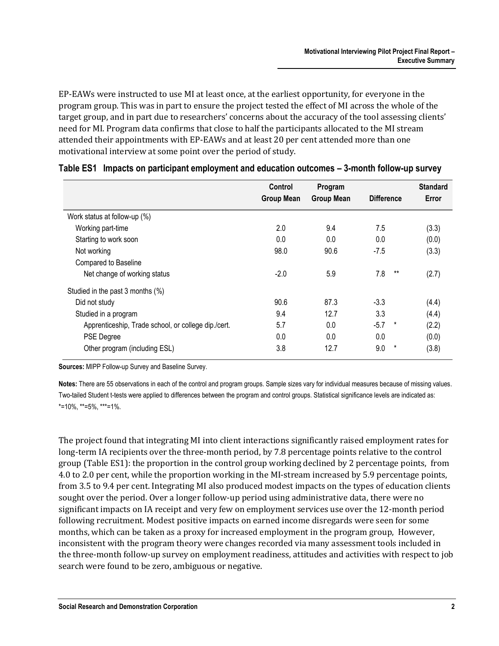EP-EAWs were instructed to use MI at least once, at the earliest opportunity, for everyone in the program group. This was in part to ensure the project tested the effect of MI across the whole of the target group, and in part due to researchers' concerns about the accuracy of the tool assessing clients' need for MI. Program data confirms that close to half the participants allocated to the MI stream attended their appointments with EP-EAWs and at least 20 per cent attended more than one motivational interview at some point over the period of study.

|                                                     | Control<br><b>Group Mean</b> | Program<br><b>Group Mean</b> | <b>Difference</b> | <b>Standard</b><br>Error |
|-----------------------------------------------------|------------------------------|------------------------------|-------------------|--------------------------|
| Work status at follow-up (%)                        |                              |                              |                   |                          |
| Working part-time                                   | 2.0                          | 9.4                          | 7.5               | (3.3)                    |
| Starting to work soon                               | 0.0                          | 0.0                          | 0.0               | (0.0)                    |
| Not working                                         | 98.0                         | 90.6                         | $-7.5$            | (3.3)                    |
| Compared to Baseline                                |                              |                              |                   |                          |
| Net change of working status                        | $-2.0$                       | 5.9                          | 7.8<br>$***$      | (2.7)                    |
| Studied in the past 3 months (%)                    |                              |                              |                   |                          |
| Did not study                                       | 90.6                         | 87.3                         | $-3.3$            | (4.4)                    |
| Studied in a program                                | 9.4                          | 12.7                         | 3.3               | (4.4)                    |
| Apprenticeship, Trade school, or college dip./cert. | 5.7                          | 0.0                          | $-5.7$<br>$\star$ | (2.2)                    |
| <b>PSE Degree</b>                                   | 0.0                          | 0.0                          | 0.0               | (0.0)                    |
| Other program (including ESL)                       | 3.8                          | 12.7                         | 9.0<br>$\star$    | (3.8)                    |

| Table ES1 Impacts on participant employment and education outcomes - 3-month follow-up survey |  |  |  |  |
|-----------------------------------------------------------------------------------------------|--|--|--|--|
|                                                                                               |  |  |  |  |

**Sources:** MIPP Follow-up Survey and Baseline Survey.

**Notes:** There are 55 observations in each of the control and program groups. Sample sizes vary for individual measures because of missing values. Two-tailed Student t-tests were applied to differences between the program and control groups. Statistical significance levels are indicated as:  $*=10\%$ ,  $**=5\%$ ,  $**=1\%$ .

The project found that integrating MI into client interactions significantly raised employment rates for long-term IA recipients over the three-month period, by 7.8 percentage points relative to the control group (Table ES1): the proportion in the control group working declined by 2 percentage points, from 4.0 to 2.0 per cent, while the proportion working in the MI-stream increased by 5.9 percentage points, from 3.5 to 9.4 per cent. Integrating MI also produced modest impacts on the types of education clients sought over the period. Over a longer follow-up period using administrative data, there were no significant impacts on IA receipt and very few on employment services use over the 12-month period following recruitment. Modest positive impacts on earned income disregards were seen for some months, which can be taken as a proxy for increased employment in the program group, However, inconsistent with the program theory were changes recorded via many assessment tools included in the three-month follow-up survey on employment readiness, attitudes and activities with respect to job search were found to be zero, ambiguous or negative.